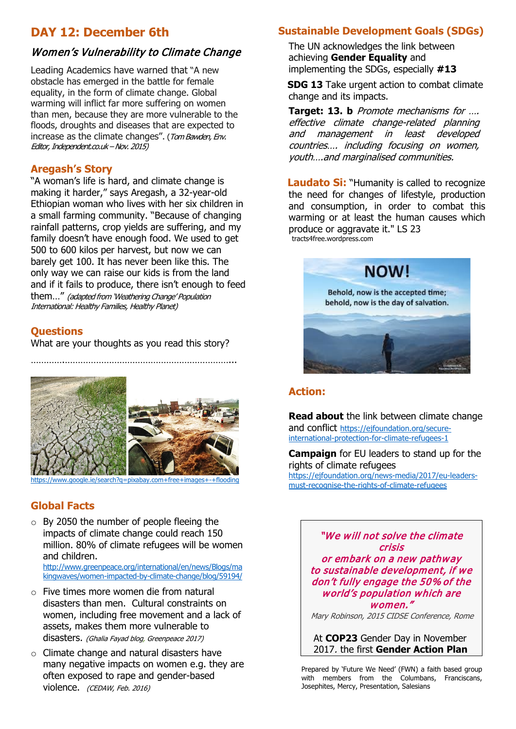## **DAY 12: December 6th**

#### Women's Vulnerability to Climate Change

Leading Academics have warned that "A new obstacle has emerged in the battle for female equality, in the form of climate change. Global warming will inflict far more suffering on women than men, because they are more vulnerable to the floods, droughts and diseases that are expected to increase as the climate changes". ([Tom Bawden,](http://www.independent.co.uk/author/tom-bawden) Env. Editor, Independent.co.uk –Nov. 2015)

#### **Aregash's Story**

"A woman's life is hard, and climate change is making it harder," says Aregash, a 32-year-old Ethiopian woman who lives with her six children in a small farming community. "Because of changing rainfall patterns, crop yields are suffering, and my family doesn't have enough food. We used to get 500 to 600 kilos per harvest, but now we can barely get 100. It has never been like this. The only way we can raise our kids is from the land and if it fails to produce, there isn't enough to feed them…" (adapted from 'Weathering Change' Population International: Healthy Families, Healthy Planet)

#### **Questions**

What are your thoughts as you read this story?

………….………………………………………………………...



.ie/search?g=pixabay.com+free+images+-+floodin

#### **Global Facts**

 $\circ$  By 2050 the number of people fleeing the impacts of climate change could reach 150 million. 80% of climate refugees [will be women](http://wecaninternational.org/pages/why-women-are-key)  [and children.](http://wecaninternational.org/pages/why-women-are-key)

[http://www.greenpeace.org/international/en/news/Blogs/ma](http://www.greenpeace.org/international/en/news/Blogs/makingwaves/women-impacted-by-climate-change/blog/59194/) [kingwaves/women-impacted-by-climate-change/blog/59194/](http://www.greenpeace.org/international/en/news/Blogs/makingwaves/women-impacted-by-climate-change/blog/59194/)

- o Five times more women die from natural disasters than men. Cultural constraints on women, including free movement and a lack of assets, makes them more vulnerable to disasters. (Ghalia Fayad blog, Greenpeace 2017)
- o Climate change and natural disasters have many negative impacts on women e.g. they are often exposed to rape and gender-based violence. (CEDAW, Feb. 2016)

## **[Sustainable Development Goals \(SDGs\)](http://www.un.org/ga/search/viewm_doc.asp?symbol=A/RES/70/1)**

The UN acknowledges the link between achieving **Gender Equality** and implementing the SDGs, especially **#13**

**SDG 13** Take urgent action to combat climate change and its impacts.

**Target: 13. b** Promote mechanisms for …. effective climate change-related planning and management in least developed countries…. including focusing on women, youth….and marginalised communities.

**Laudato Si:** "Humanity is called to recognize the need for changes of lifestyle, production and consumption, in order to combat this warming or at least the human causes which produce or aggravate it." LS 23 tracts4free.wordpress.com



#### **Action:**

**Read about** the link between climate change and conflict [https://ejfoundation.org/secure](https://ejfoundation.org/secure-%20international-protection-for-climate-refugees-1)[international-protection-for-climate-refugees-1](https://ejfoundation.org/secure-%20international-protection-for-climate-refugees-1)

**Campaign** for EU leaders to stand up for the rights of climate refugees [https://ejfoundation.org/news-media/2017/eu-leaders](https://ejfoundation.org/news-media/2017/eu-leaders-must-recognise-the-rights-of-climate-refugees)[must-recognise-the-rights-of-climate-refugees](https://ejfoundation.org/news-media/2017/eu-leaders-must-recognise-the-rights-of-climate-refugees)

> "We will not solve the climate crisis or embark on a new pathway to sustainable development, if we don't fully engage the 50% of the world's population which are women."

> Mary Robinson, 2015 CIDSE Conference, Rome

At **COP23** Gender Day in November 2017, the first **Gender Action Plan**

 Prepared by 'Future We Need' (FWN) a faith based group Prepared by Future we need (FWN) a faith based group<br>with members from the Columbans, Franciscans, Josephites, Mercy, Presentation, Salesians